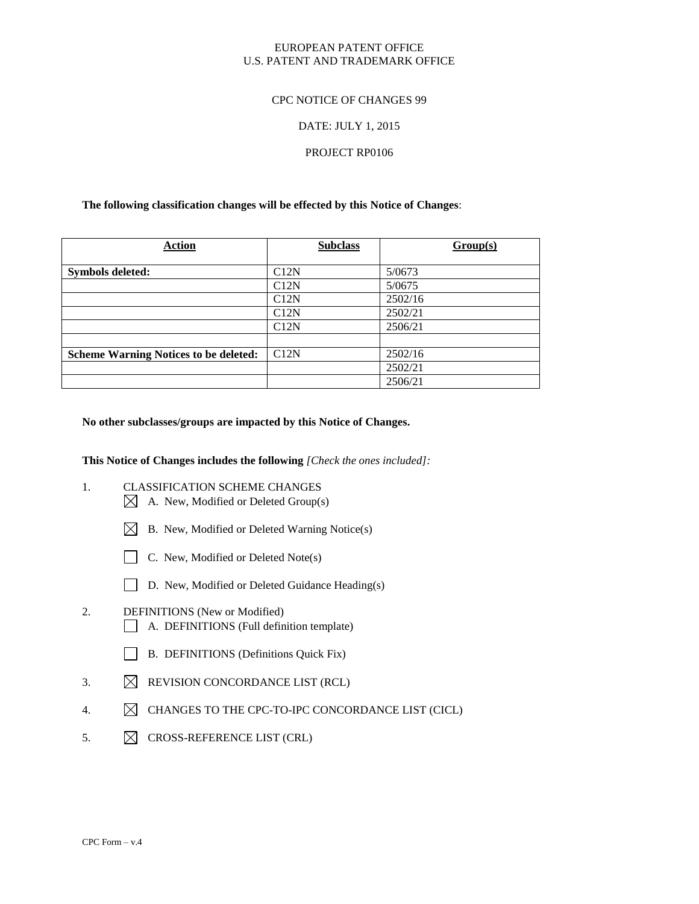# EUROPEAN PATENT OFFICE U.S. PATENT AND TRADEMARK OFFICE

## CPC NOTICE OF CHANGES 99

## DATE: JULY 1, 2015

## PROJECT RP0106

## **The following classification changes will be effected by this Notice of Changes**:

| <b>Action</b>                                | <b>Subclass</b> | Group(s) |
|----------------------------------------------|-----------------|----------|
| <b>Symbols deleted:</b>                      | C12N            | 5/0673   |
|                                              | C12N            | 5/0675   |
|                                              | C12N            | 2502/16  |
|                                              | C12N            | 2502/21  |
|                                              | C12N            | 2506/21  |
|                                              |                 |          |
| <b>Scheme Warning Notices to be deleted:</b> | C12N            | 2502/16  |
|                                              |                 | 2502/21  |
|                                              |                 | 2506/21  |

### **No other subclasses/groups are impacted by this Notice of Changes.**

**This Notice of Changes includes the following** *[Check the ones included]:*

- 1. CLASSIFICATION SCHEME CHANGES
	- $\boxtimes$  A. New, Modified or Deleted Group(s)
	- $\boxtimes$  B. New, Modified or Deleted Warning Notice(s)
	- $\Box$  C. New, Modified or Deleted Note(s)
	- D. New, Modified or Deleted Guidance Heading(s)

# 2. DEFINITIONS (New or Modified) A. DEFINITIONS (Full definition template)

- B. DEFINITIONS (Definitions Quick Fix)
- 3.  $\boxtimes$  REVISION CONCORDANCE LIST (RCL)
- 4.  $\boxtimes$  CHANGES TO THE CPC-TO-IPC CONCORDANCE LIST (CICL)
- 5.  $\boxtimes$  CROSS-REFERENCE LIST (CRL)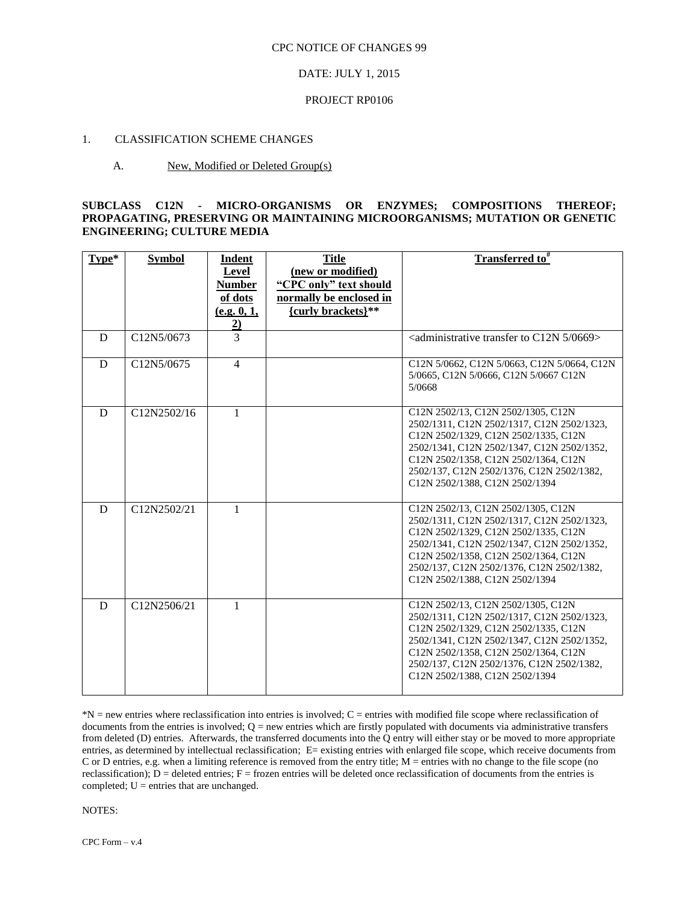#### DATE: JULY 1, 2015

#### PROJECT RP0106

# 1. CLASSIFICATION SCHEME CHANGES

#### A. New, Modified or Deleted Group(s)

## **SUBCLASS C12N - MICRO-ORGANISMS OR ENZYMES; COMPOSITIONS THEREOF; PROPAGATING, PRESERVING OR MAINTAINING MICROORGANISMS; MUTATION OR GENETIC ENGINEERING; CULTURE MEDIA**

| Type* | <b>Symbol</b> | Indent<br><b>Level</b><br><b>Number</b><br>of dots<br>(e.g. 0, 1,<br>$\overline{2}$ | <b>Title</b><br>(new or modified)<br>"CPC only" text should<br>normally be enclosed in<br>{curly brackets}** | Transferred to#                                                                                                                                                                                                                                                                               |
|-------|---------------|-------------------------------------------------------------------------------------|--------------------------------------------------------------------------------------------------------------|-----------------------------------------------------------------------------------------------------------------------------------------------------------------------------------------------------------------------------------------------------------------------------------------------|
| D     | C12N5/0673    | $\overline{3}$                                                                      |                                                                                                              | <administrative 0669="" 5="" c12n="" to="" transfer=""></administrative>                                                                                                                                                                                                                      |
| D     | C12N5/0675    | $\overline{4}$                                                                      |                                                                                                              | C12N 5/0662, C12N 5/0663, C12N 5/0664, C12N<br>5/0665, C12N 5/0666, C12N 5/0667 C12N<br>5/0668                                                                                                                                                                                                |
| D     | C12N2502/16   | 1                                                                                   |                                                                                                              | C12N 2502/13, C12N 2502/1305, C12N<br>2502/1311, C12N 2502/1317, C12N 2502/1323,<br>C12N 2502/1329, C12N 2502/1335, C12N<br>2502/1341, C12N 2502/1347, C12N 2502/1352,<br>C12N 2502/1358, C12N 2502/1364, C12N<br>2502/137, C12N 2502/1376, C12N 2502/1382,<br>C12N 2502/1388, C12N 2502/1394 |
| D     | C12N2502/21   | 1                                                                                   |                                                                                                              | C12N 2502/13, C12N 2502/1305, C12N<br>2502/1311, C12N 2502/1317, C12N 2502/1323,<br>C12N 2502/1329, C12N 2502/1335, C12N<br>2502/1341, C12N 2502/1347, C12N 2502/1352,<br>C12N 2502/1358, C12N 2502/1364, C12N<br>2502/137, C12N 2502/1376, C12N 2502/1382.<br>C12N 2502/1388, C12N 2502/1394 |
| D     | C12N2506/21   | $\mathbf{1}$                                                                        |                                                                                                              | C12N 2502/13, C12N 2502/1305, C12N<br>2502/1311, C12N 2502/1317, C12N 2502/1323.<br>C12N 2502/1329, C12N 2502/1335, C12N<br>2502/1341, C12N 2502/1347, C12N 2502/1352,<br>C12N 2502/1358, C12N 2502/1364, C12N<br>2502/137, C12N 2502/1376, C12N 2502/1382,<br>C12N 2502/1388, C12N 2502/1394 |

\*N = new entries where reclassification into entries is involved; C = entries with modified file scope where reclassification of documents from the entries is involved;  $Q =$  new entries which are firstly populated with documents via administrative transfers from deleted (D) entries. Afterwards, the transferred documents into the Q entry will either stay or be moved to more appropriate entries, as determined by intellectual reclassification; E= existing entries with enlarged file scope, which receive documents from C or D entries, e.g. when a limiting reference is removed from the entry title; M = entries with no change to the file scope (no reclassification);  $D =$  deleted entries;  $F =$  frozen entries will be deleted once reclassification of documents from the entries is completed; U = entries that are unchanged.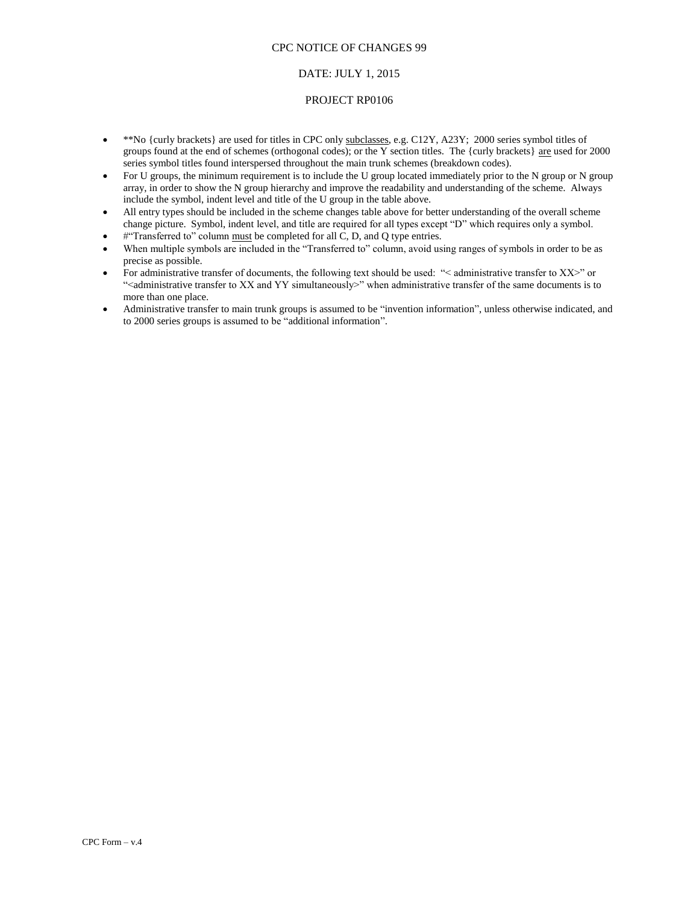# DATE: JULY 1, 2015

#### PROJECT RP0106

- \*\*No {curly brackets} are used for titles in CPC only subclasses, e.g. C12Y, A23Y; 2000 series symbol titles of groups found at the end of schemes (orthogonal codes); or the Y section titles. The {curly brackets} are used for 2000 series symbol titles found interspersed throughout the main trunk schemes (breakdown codes).
- For U groups, the minimum requirement is to include the U group located immediately prior to the N group or N group array, in order to show the N group hierarchy and improve the readability and understanding of the scheme. Always include the symbol, indent level and title of the U group in the table above.
- All entry types should be included in the scheme changes table above for better understanding of the overall scheme change picture. Symbol, indent level, and title are required for all types except "D" which requires only a symbol.
- #"Transferred to" column must be completed for all C, D, and Q type entries.
- When multiple symbols are included in the "Transferred to" column, avoid using ranges of symbols in order to be as precise as possible.
- For administrative transfer of documents, the following text should be used: "< administrative transfer to XX>" or "<administrative transfer to XX and YY simultaneously>" when administrative transfer of the same documents is to more than one place.
- Administrative transfer to main trunk groups is assumed to be "invention information", unless otherwise indicated, and to 2000 series groups is assumed to be "additional information".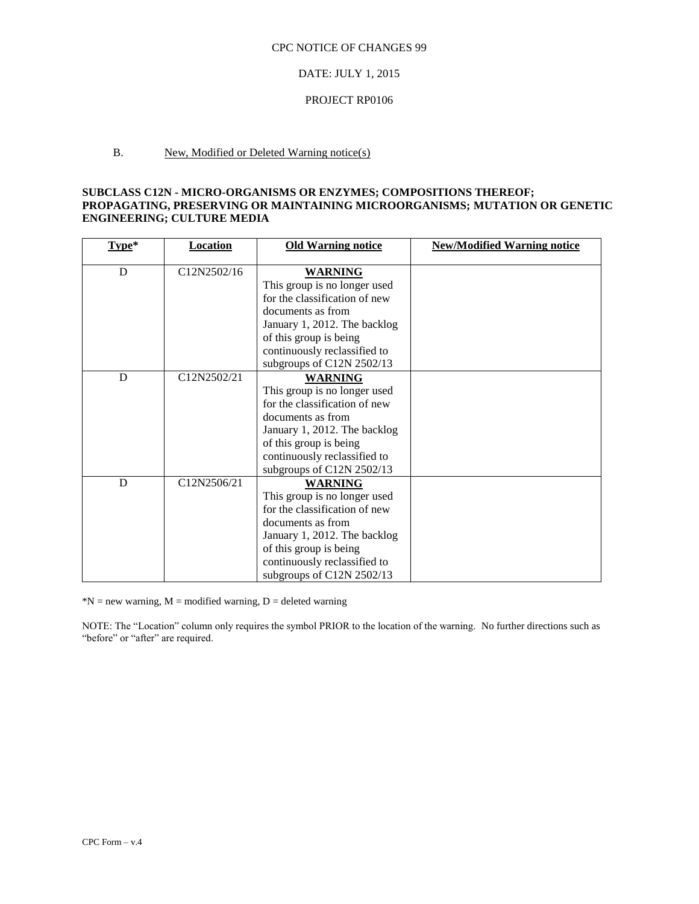#### DATE: JULY 1, 2015

#### PROJECT RP0106

# B. New, Modified or Deleted Warning notice(s)

# **SUBCLASS C12N - MICRO-ORGANISMS OR ENZYMES; COMPOSITIONS THEREOF; PROPAGATING, PRESERVING OR MAINTAINING MICROORGANISMS; MUTATION OR GENETIC ENGINEERING; CULTURE MEDIA**

| $Type*$ | <b>Location</b> | <b>Old Warning notice</b>     | <b>New/Modified Warning notice</b> |
|---------|-----------------|-------------------------------|------------------------------------|
| D       | C12N2502/16     | <b>WARNING</b>                |                                    |
|         |                 | This group is no longer used  |                                    |
|         |                 | for the classification of new |                                    |
|         |                 | documents as from             |                                    |
|         |                 | January 1, 2012. The backlog  |                                    |
|         |                 | of this group is being        |                                    |
|         |                 | continuously reclassified to  |                                    |
|         |                 | subgroups of C12N 2502/13     |                                    |
| D       | C12N2502/21     | <b>WARNING</b>                |                                    |
|         |                 | This group is no longer used  |                                    |
|         |                 | for the classification of new |                                    |
|         |                 | documents as from             |                                    |
|         |                 | January 1, 2012. The backlog  |                                    |
|         |                 | of this group is being        |                                    |
|         |                 | continuously reclassified to  |                                    |
|         |                 | subgroups of C12N 2502/13     |                                    |
| D       | C12N2506/21     | <b>WARNING</b>                |                                    |
|         |                 | This group is no longer used  |                                    |
|         |                 | for the classification of new |                                    |
|         |                 | documents as from             |                                    |
|         |                 | January 1, 2012. The backlog  |                                    |
|         |                 | of this group is being        |                                    |
|         |                 | continuously reclassified to  |                                    |
|         |                 | subgroups of C12N 2502/13     |                                    |

 $N = new warning, M = modified warning, D = deleted warning$ 

NOTE: The "Location" column only requires the symbol PRIOR to the location of the warning. No further directions such as "before" or "after" are required.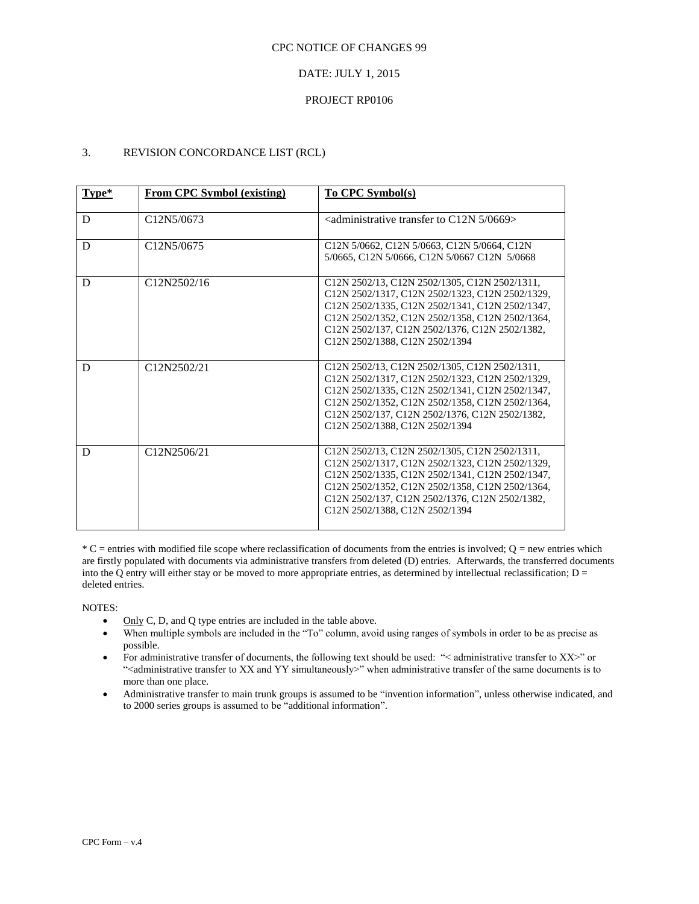## DATE: JULY 1, 2015

## PROJECT RP0106

# 3. REVISION CONCORDANCE LIST (RCL)

| $Type*$ | <b>From CPC Symbol (existing)</b>                              | To CPC Symbol(s)                                                                                                                                                                                                                                                                           |
|---------|----------------------------------------------------------------|--------------------------------------------------------------------------------------------------------------------------------------------------------------------------------------------------------------------------------------------------------------------------------------------|
| D       | C <sub>12</sub> N <sub>5</sub> /0673                           | $\alpha$ <administrative 0669="" 5="" c12n="" to="" transfer=""></administrative>                                                                                                                                                                                                          |
| D       | C <sub>12</sub> N <sub>5</sub> /0675                           | C12N 5/0662, C12N 5/0663, C12N 5/0664, C12N<br>5/0665, C12N 5/0666, C12N 5/0667 C12N 5/0668                                                                                                                                                                                                |
| D       | C <sub>12</sub> N <sub>2502</sub> /16                          | C12N 2502/13, C12N 2502/1305, C12N 2502/1311.<br>C12N 2502/1317, C12N 2502/1323, C12N 2502/1329,<br>C12N 2502/1335, C12N 2502/1341, C12N 2502/1347,<br>C12N 2502/1352, C12N 2502/1358, C12N 2502/1364,<br>C12N 2502/137, C12N 2502/1376, C12N 2502/1382,<br>C12N 2502/1388, C12N 2502/1394 |
| D       | C <sub>12</sub> N <sub>25</sub> 0 <sub>2</sub> /2 <sub>1</sub> | C12N 2502/13, C12N 2502/1305, C12N 2502/1311.<br>C12N 2502/1317, C12N 2502/1323, C12N 2502/1329,<br>C12N 2502/1335, C12N 2502/1341, C12N 2502/1347,<br>C12N 2502/1352, C12N 2502/1358, C12N 2502/1364,<br>C12N 2502/137, C12N 2502/1376, C12N 2502/1382,<br>C12N 2502/1388, C12N 2502/1394 |
| D       | C12N2506/21                                                    | C12N 2502/13, C12N 2502/1305, C12N 2502/1311,<br>C12N 2502/1317, C12N 2502/1323, C12N 2502/1329,<br>C12N 2502/1335, C12N 2502/1341, C12N 2502/1347,<br>C12N 2502/1352, C12N 2502/1358, C12N 2502/1364,<br>C12N 2502/137, C12N 2502/1376, C12N 2502/1382,<br>C12N 2502/1388, C12N 2502/1394 |

 $*C$  = entries with modified file scope where reclassification of documents from the entries is involved;  $Q$  = new entries which are firstly populated with documents via administrative transfers from deleted (D) entries. Afterwards, the transferred documents into the Q entry will either stay or be moved to more appropriate entries, as determined by intellectual reclassification;  $D =$ deleted entries.

- $\bullet$  Only C, D, and Q type entries are included in the table above.
- When multiple symbols are included in the "To" column, avoid using ranges of symbols in order to be as precise as possible.
- For administrative transfer of documents, the following text should be used: "< administrative transfer to XX>" or "<administrative transfer to XX and YY simultaneously>" when administrative transfer of the same documents is to more than one place.
- Administrative transfer to main trunk groups is assumed to be "invention information", unless otherwise indicated, and to 2000 series groups is assumed to be "additional information".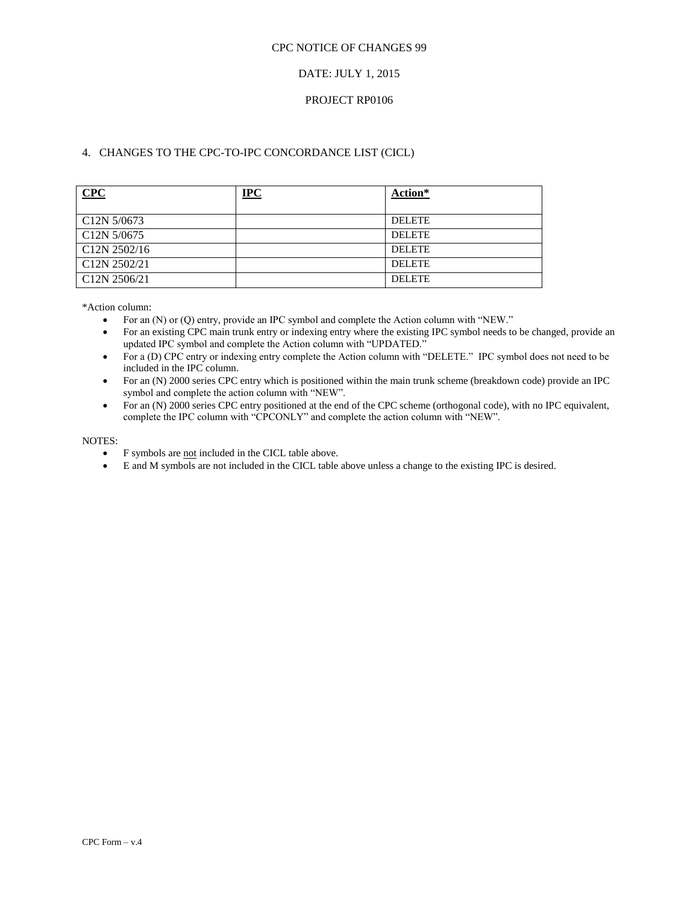# DATE: JULY 1, 2015

# PROJECT RP0106

# 4. CHANGES TO THE CPC-TO-IPC CONCORDANCE LIST (CICL)

| CPC                                               | IPC | Action*       |
|---------------------------------------------------|-----|---------------|
| C <sub>12</sub> N 5/0673                          |     | <b>DELETE</b> |
| C <sub>12</sub> N 5/0675                          |     | <b>DELETE</b> |
| C <sub>12</sub> N 2502/16                         |     | <b>DELETE</b> |
| C <sub>12</sub> N <sub>2502</sub> /2 <sub>1</sub> |     | <b>DELETE</b> |
| C <sub>12</sub> N 2506/21                         |     | <b>DELETE</b> |

\*Action column:

- For an (N) or (Q) entry, provide an IPC symbol and complete the Action column with "NEW."
- For an existing CPC main trunk entry or indexing entry where the existing IPC symbol needs to be changed, provide an updated IPC symbol and complete the Action column with "UPDATED."
- For a (D) CPC entry or indexing entry complete the Action column with "DELETE." IPC symbol does not need to be included in the IPC column.
- For an (N) 2000 series CPC entry which is positioned within the main trunk scheme (breakdown code) provide an IPC symbol and complete the action column with "NEW".
- For an (N) 2000 series CPC entry positioned at the end of the CPC scheme (orthogonal code), with no IPC equivalent, complete the IPC column with "CPCONLY" and complete the action column with "NEW".

- F symbols are not included in the CICL table above.
- E and M symbols are not included in the CICL table above unless a change to the existing IPC is desired.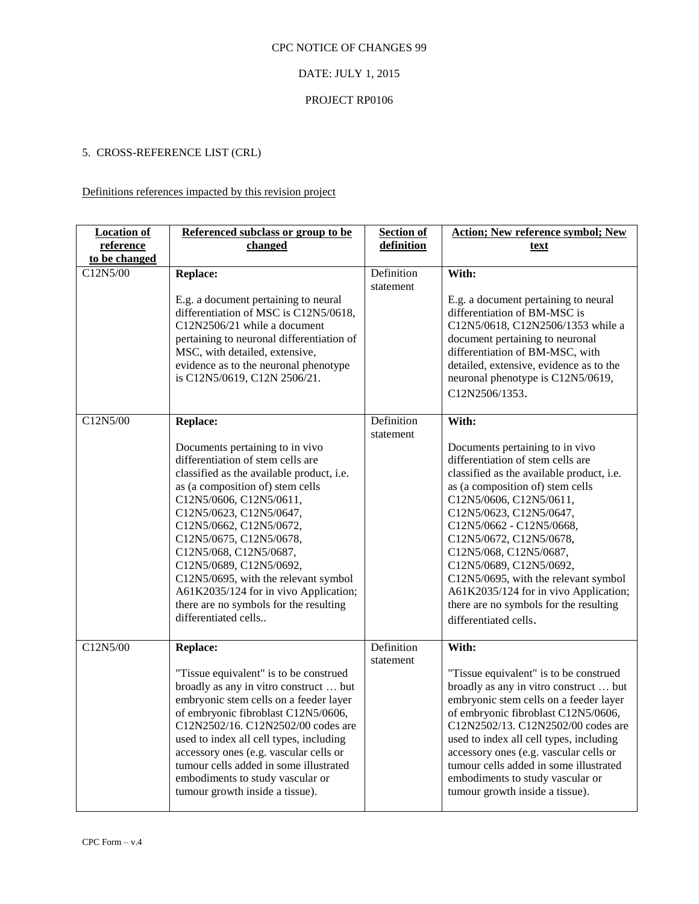# DATE: JULY 1, 2015

### PROJECT RP0106

# 5. CROSS-REFERENCE LIST (CRL)

# Definitions references impacted by this revision project

| <b>Location of</b> | Referenced subclass or group to be                                                                                                                                                                                                                                                                                                                                                                                                                                                           | <b>Section of</b>       | <b>Action; New reference symbol; New</b>                                                                                                                                                                                                                                                                                                                                                                                                                                             |
|--------------------|----------------------------------------------------------------------------------------------------------------------------------------------------------------------------------------------------------------------------------------------------------------------------------------------------------------------------------------------------------------------------------------------------------------------------------------------------------------------------------------------|-------------------------|--------------------------------------------------------------------------------------------------------------------------------------------------------------------------------------------------------------------------------------------------------------------------------------------------------------------------------------------------------------------------------------------------------------------------------------------------------------------------------------|
| reference          | changed                                                                                                                                                                                                                                                                                                                                                                                                                                                                                      | definition              | text                                                                                                                                                                                                                                                                                                                                                                                                                                                                                 |
| to be changed      |                                                                                                                                                                                                                                                                                                                                                                                                                                                                                              |                         |                                                                                                                                                                                                                                                                                                                                                                                                                                                                                      |
| C12N5/00           | <b>Replace:</b><br>E.g. a document pertaining to neural<br>differentiation of MSC is C12N5/0618,<br>C12N2506/21 while a document<br>pertaining to neuronal differentiation of<br>MSC, with detailed, extensive,<br>evidence as to the neuronal phenotype<br>is C12N5/0619, C12N 2506/21.                                                                                                                                                                                                     | Definition<br>statement | With:<br>E.g. a document pertaining to neural<br>differentiation of BM-MSC is<br>C12N5/0618, C12N2506/1353 while a<br>document pertaining to neuronal<br>differentiation of BM-MSC, with<br>detailed, extensive, evidence as to the<br>neuronal phenotype is C12N5/0619,<br>C12N2506/1353.                                                                                                                                                                                           |
| C12N5/00           | <b>Replace:</b><br>Documents pertaining to in vivo<br>differentiation of stem cells are<br>classified as the available product, i.e.<br>as (a composition of) stem cells<br>C12N5/0606, C12N5/0611,<br>C12N5/0623, C12N5/0647,<br>C12N5/0662, C12N5/0672,<br>C12N5/0675, C12N5/0678,<br>C12N5/068, C12N5/0687,<br>C12N5/0689, C12N5/0692,<br>C12N5/0695, with the relevant symbol<br>A61K2035/124 for in vivo Application;<br>there are no symbols for the resulting<br>differentiated cells | Definition<br>statement | With:<br>Documents pertaining to in vivo<br>differentiation of stem cells are<br>classified as the available product, i.e.<br>as (a composition of) stem cells<br>C12N5/0606, C12N5/0611,<br>C12N5/0623, C12N5/0647,<br>C12N5/0662 - C12N5/0668,<br>C12N5/0672, C12N5/0678,<br>C12N5/068, C12N5/0687,<br>C12N5/0689, C12N5/0692,<br>C12N5/0695, with the relevant symbol<br>A61K2035/124 for in vivo Application;<br>there are no symbols for the resulting<br>differentiated cells. |
| C12N5/00           | <b>Replace:</b><br>"Tissue equivalent" is to be construed<br>broadly as any in vitro construct  but<br>embryonic stem cells on a feeder layer<br>of embryonic fibroblast C12N5/0606,<br>C12N2502/16. C12N2502/00 codes are<br>used to index all cell types, including<br>accessory ones (e.g. vascular cells or<br>tumour cells added in some illustrated<br>embodiments to study vascular or<br>tumour growth inside a tissue).                                                             | Definition<br>statement | With:<br>"Tissue equivalent" is to be construed<br>broadly as any in vitro construct  but<br>embryonic stem cells on a feeder layer<br>of embryonic fibroblast C12N5/0606,<br>C12N2502/13. C12N2502/00 codes are<br>used to index all cell types, including<br>accessory ones (e.g. vascular cells or<br>tumour cells added in some illustrated<br>embodiments to study vascular or<br>tumour growth inside a tissue).                                                               |